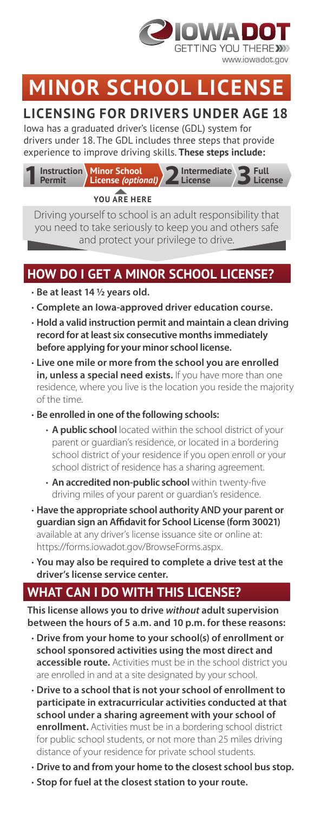

# **MINOR SCHOOL**

## **LICENSING FOR DRIVERS UNDER AGE 18**

Iowa has a graduated driver's license (GDL) system for drivers under 18. The GDL includes three steps that provide experience to improve driving skills. **These steps include:**



**YOU ARE HERE**

Driving yourself to school is an adult responsibility that you need to take seriously to keep you and others safe and protect your privilege to drive.

## **HOW DO I GET A MINOR SCHOOL LICENSE?**

- **Be at least 14 1/2 years old.**
- **Complete an Iowa-approved driver education course.**
- **Hold a valid instruction permit and maintain a clean driving record for at least six consecutive months immediately before applying for your minor school license.**
- **Live one mile or more from the school you are enrolled**  in, unless a special need exists. If you have more than one residence, where you live is the location you reside the majority of the time.
- **Be enrolled in one of the following schools:**
	- **A public school** located within the school district of your parent or guardian's residence, or located in a bordering school district of your residence if you open enroll or your school district of residence has a sharing agreement.
	- **An accredited non-public school** within twenty-five driving miles of your parent or guardian's residence.
- **Have the appropriate school authority AND your parent or guardian sign an Affidavit for School License (form 30021)**  available at any driver's license issuance site or online at: https://forms.iowadot.gov/BrowseForms.aspx.
- **You may also be required to complete a drive test at the driver's license service center.**

## **WHAT CAN I DO WITH THIS LICENSE?**

**This license allows you to drive** *without* **adult supervision between the hours of 5 a.m. and 10 p.m. for these reasons:**

- • **Drive from your home to your school(s) of enrollment or school sponsored activities using the most direct and accessible route.** Activities must be in the school district you are enrolled in and at a site designated by your school.
- **Drive to a school that is not your school of enrollment to participate in extracurricular activities conducted at that school under a sharing agreement with your school of enrollment.** Activities must be in a bordering school district for public school students, or not more than 25 miles driving distance of your residence for private school students.
- **Drive to and from your home to the closest school bus stop.**
- **Stop for fuel at the closest station to your route.**